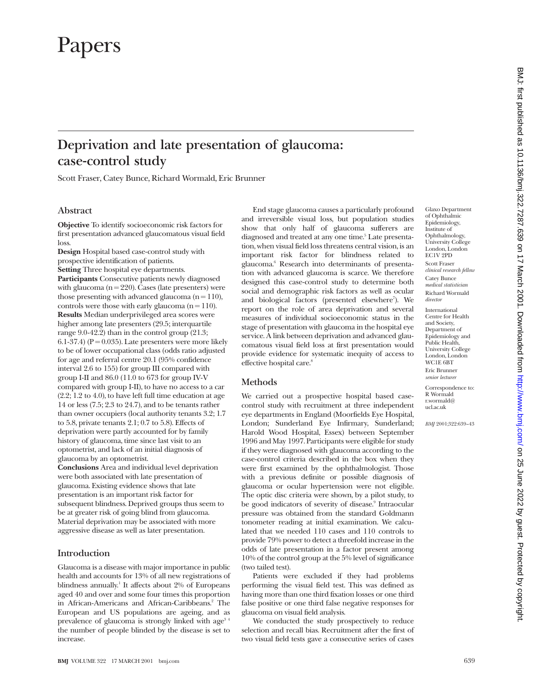# Papers

# **Deprivation and late presentation of glaucoma: case-control study**

Scott Fraser, Catey Bunce, Richard Wormald, Eric Brunner

### **Abstract**

**Objective** To identify socioeconomic risk factors for first presentation advanced glaucomatous visual field loss.

**Design** Hospital based case-control study with prospective identification of patients. **Setting** Three hospital eye departments. **Participants** Consecutive patients newly diagnosed with glaucoma ( $n = 220$ ). Cases (late presenters) were those presenting with advanced glaucoma  $(n = 110)$ , controls were those with early glaucoma  $(n = 110)$ . **Results** Median underprivileged area scores were higher among late presenters (29.5; interquartile range 9.0-42.2) than in the control group (21.3; 6.1-37.4) ( $P = 0.035$ ). Late presenters were more likely to be of lower occupational class (odds ratio adjusted for age and referral centre 20.1 (95% confidence interval 2.6 to 155) for group III compared with group I-II and 86.0 (11.0 to 673 for group IV-V compared with group I-II), to have no access to a car (2.2; 1.2 to 4.0), to have left full time education at age 14 or less (7.5; 2.3 to 24.7), and to be tenants rather than owner occupiers (local authority tenants 3.2; 1.7 to 5.8, private tenants 2.1; 0.7 to 5.8). Effects of deprivation were partly accounted for by family history of glaucoma, time since last visit to an optometrist, and lack of an initial diagnosis of glaucoma by an optometrist.

**Conclusions** Area and individual level deprivation were both associated with late presentation of glaucoma. Existing evidence shows that late presentation is an important risk factor for subsequent blindness. Deprived groups thus seem to be at greater risk of going blind from glaucoma. Material deprivation may be associated with more aggressive disease as well as later presentation.

### **Introduction**

Glaucoma is a disease with major importance in public health and accounts for 13% of all new registrations of blindness annually.<sup>1</sup> It affects about  $2\%$  of Europeans aged 40 and over and some four times this proportion in African-Americans and African-Caribbeans.<sup>2</sup> The European and US populations are ageing, and as prevalence of glaucoma is strongly linked with age<sup>3 4</sup> the number of people blinded by the disease is set to increase.

End stage glaucoma causes a particularly profound and irreversible visual loss, but population studies show that only half of glaucoma sufferers are diagnosed and treated at any one time.<sup>5</sup> Late presentation, when visual field loss threatens central vision, is an important risk factor for blindness related to glaucoma.6 Research into determinants of presentation with advanced glaucoma is scarce. We therefore designed this case-control study to determine both social and demographic risk factors as well as ocular and biological factors (presented elsewhere<sup>7</sup>). We report on the role of area deprivation and several measures of individual socioeconomic status in the stage of presentation with glaucoma in the hospital eye service. A link between deprivation and advanced glaucomatous visual field loss at first presentation would provide evidence for systematic inequity of access to effective hospital care.<sup>8</sup>

### **Methods**

We carried out a prospective hospital based casecontrol study with recruitment at three independent eye departments in England (Moorfields Eye Hospital, London; Sunderland Eye Infirmary, Sunderland; Harold Wood Hospital, Essex) between September 1996 and May 1997. Participants were eligible for study if they were diagnosed with glaucoma according to the case-control criteria described in the box when they were first examined by the ophthalmologist. Those with a previous definite or possible diagnosis of glaucoma or ocular hypertension were not eligible. The optic disc criteria were shown, by a pilot study, to be good indicators of severity of disease.<sup>9</sup> Intraocular pressure was obtained from the standard Goldmann tonometer reading at initial examination. We calculated that we needed 110 cases and 110 controls to provide 79% power to detect a threefold increase in the odds of late presentation in a factor present among 10% of the control group at the 5% level of significance (two tailed test).

Patients were excluded if they had problems performing the visual field test. This was defined as having more than one third fixation losses or one third false positive or one third false negative responses for glaucoma on visual field analysis.

We conducted the study prospectively to reduce selection and recall bias. Recruitment after the first of two visual field tests gave a consecutive series of cases

Glaxo Department of Ophthalmic Epidemiology, Institute of Ophthalmology, University College London, London EC1V 2PD Scott Fraser *clinical research fellow* Catey Bunce *medical statistician* Richard Wormald *director*

International Centre for Health and Society, Department of Epidemiology and Public Health, University College London, London WC1E 6BT Eric Brunner *senior lecturer*

Correspondence to: R Wormald r.wormald@ ucl.ac.uk

*BMJ* 2001;322:639–43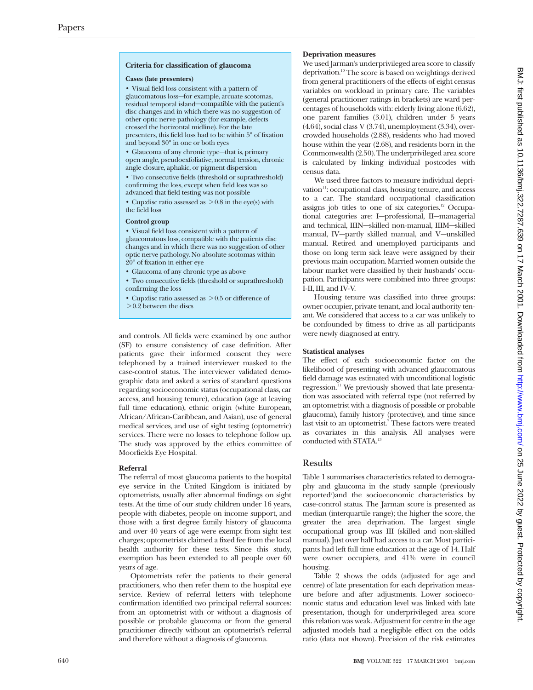### **Criteria for classification of glaucoma**

• Visual field loss consistent with a pattern of glaucomatous loss—for example, arcuate scotomas, residual temporal island—compatible with the patient's disc changes and in which there was no suggestion of other optic nerve pathology (for example, defects crossed the horizontal midline). For the late presenters, this field loss had to be within 5° of fixation and beyond 30° in one or both eyes

• Glaucoma of any chronic type—that is, primary open angle, pseudoexfoliative, normal tension, chronic angle closure, aphakic, or pigment dispersion

• Two consecutive fields (threshold or suprathreshold) confirming the loss, except when field loss was so advanced that field testing was not possible

• Cup:disc ratio assessed as  $> 0.8$  in the eye(s) with the field loss

• Visual field loss consistent with a pattern of glaucomatous loss, compatible with the patients disc changes and in which there was no suggestion of other optic nerve pathology. No absolute scotomas within 20° of fixation in either eye

- Glaucoma of any chronic type as above
- Two consecutive fields (threshold or suprathreshold) confirming the loss
- Cup:disc ratio assessed as  $> 0.5$  or difference of  $> 0.2$  between the discs

and controls. All fields were examined by one author (SF) to ensure consistency of case definition. After patients gave their informed consent they were telephoned by a trained interviewer masked to the case-control status. The interviewer validated demographic data and asked a series of standard questions regarding socioeconomic status (occupational class, car access, and housing tenure), education (age at leaving full time education), ethnic origin (white European, African/African-Caribbean, and Asian), use of general medical services, and use of sight testing (optometric) services. There were no losses to telephone follow up. The study was approved by the ethics committee of Moorfields Eye Hospital.

### Referral

**Referral** The referral of most glaucoma patients to the hospital eye service in the United Kingdom is initiated by optometrists, usually after abnormal findings on sight tests. At the time of our study children under 16 years, people with diabetes, people on income support, and those with a first degree family history of glaucoma and over 40 years of age were exempt from sight test charges; optometrists claimed a fixed fee from the local health authority for these tests. Since this study, exemption has been extended to all people over 60 years of age.

Optometrists refer the patients to their general practitioners, who then refer them to the hospital eye service. Review of referral letters with telephone confirmation identified two principal referral sources: from an optometrist with or without a diagnosis of possible or probable glaucoma or from the general practitioner directly without an optometrist's referral and therefore without a diagnosis of glaucoma.

**Deprivation measures** We used Jarman's underprivileged area score to classify deprivation.10 The score is based on weightings derived from general practitioners of the effects of eight census variables on workload in primary care. The variables (general practitioner ratings in brackets) are ward percentages of households with: elderly living alone (6.62), one parent families (3.01), children under 5 years  $(4.64)$ , social class V $(3.74)$ , unemployment  $(3.34)$ , overcrowded households (2.88), residents who had moved house within the year (2.68), and residents born in the Commonwealth (2.50). The underprivileged area score is calculated by linking individual postcodes with census data.

We used three factors to measure individual deprivation<sup>11</sup>: occupational class, housing tenure, and access to a car. The standard occupational classification assigns job titles to one of six categories.<sup>12</sup> Occupational categories are: I—professional, II—managerial and technical, IIIN—skilled non-manual, IIIM—skilled manual, IV—partly skilled manual, and V—unskilled manual. Retired and unemployed participants and those on long term sick leave were assigned by their previous main occupation. Married women outside the labour market were classified by their husbands' occupation. Participants were combined into three groups: I-II, III, and IV-V.

Housing tenure was classified into three groups: owner occupier, private tenant, and local authority tenant. We considered that access to a car was unlikely to be confounded by fitness to drive as all participants were newly diagnosed at entry.

**Statistical analyses** The effect of each socioeconomic factor on the likelihood of presenting with advanced glaucomatous field damage was estimated with unconditional logistic regression.<sup>11</sup> We previously showed that late presentation was associated with referral type (not referred by an optometrist with a diagnosis of possible or probable glaucoma), family history (protective), and time since last visit to an optometrist.<sup>7</sup> These factors were treated as covariates in this analysis. All analyses were conducted with STATA.13

### **Results**

Table 1 summarises characteristics related to demography and glaucoma in the study sample (previously reported<sup>7</sup>) and the socioeconomic characteristics by case-control status. The Jarman score is presented as median (interquartile range); the higher the score, the greater the area deprivation. The largest single occupational group was III (skilled and non-skilled manual). Just over half had access to a car. Most participants had left full time education at the age of 14. Half were owner occupiers, and 41% were in council housing.

Table 2 shows the odds (adjusted for age and centre) of late presentation for each deprivation measure before and after adjustments. Lower socioeconomic status and education level was linked with late presentation, though for underprivileged area score this relation was weak. Adjustment for centre in the age adjusted models had a negligible effect on the odds ratio (data not shown). Precision of the risk estimates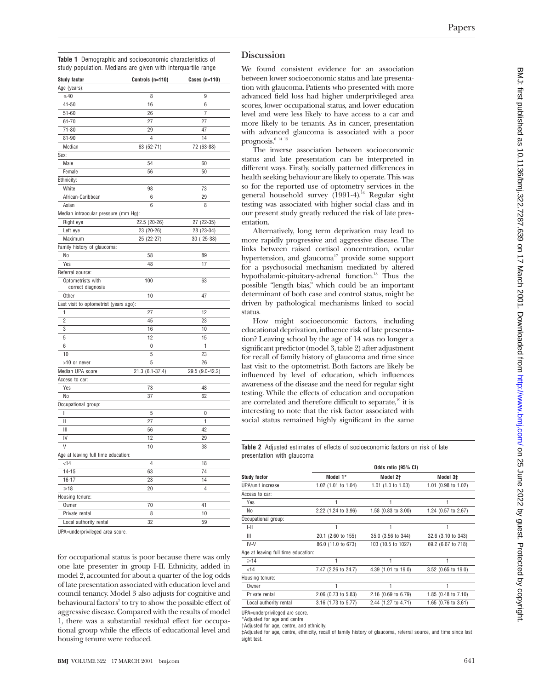**Table 1** Demographic and socioeconomic characteristics of study population. Medians are given with interquartile range

| Controls (n=110)                     | Cases $(n=110)$                                                                                                         |
|--------------------------------------|-------------------------------------------------------------------------------------------------------------------------|
|                                      |                                                                                                                         |
| 8                                    | 9                                                                                                                       |
| 16                                   | 6                                                                                                                       |
| 26                                   | 7                                                                                                                       |
| 27                                   | 27                                                                                                                      |
| 29                                   | 47                                                                                                                      |
| $\overline{4}$                       | 14                                                                                                                      |
| 63 (52-71)                           | 72 (63-88)                                                                                                              |
|                                      |                                                                                                                         |
| 54                                   | 60                                                                                                                      |
| 56                                   | 50                                                                                                                      |
|                                      |                                                                                                                         |
| 98                                   | 73                                                                                                                      |
| 6                                    | 29                                                                                                                      |
| 6                                    | 8                                                                                                                       |
| Median intraocular pressure (mm Hg): |                                                                                                                         |
| 22.5 (20-26)                         | 27 (22-35)                                                                                                              |
| 23 (20-26)                           | 28 (23-34)                                                                                                              |
| 25 (22-27)                           | 30 (25-38)                                                                                                              |
|                                      |                                                                                                                         |
| 58                                   | 89                                                                                                                      |
| 48                                   | 17                                                                                                                      |
|                                      |                                                                                                                         |
| 100                                  | 63                                                                                                                      |
| 10                                   | 47                                                                                                                      |
|                                      |                                                                                                                         |
| 27                                   | 12                                                                                                                      |
| 45                                   | 23                                                                                                                      |
| 16                                   | 10                                                                                                                      |
| 12                                   | 15                                                                                                                      |
| $\Omega$                             | 1                                                                                                                       |
|                                      | 23                                                                                                                      |
| 5                                    | 26                                                                                                                      |
|                                      | 29.5 (9.0-42.2)                                                                                                         |
|                                      |                                                                                                                         |
| 73                                   | 48                                                                                                                      |
| 37                                   | 62                                                                                                                      |
|                                      |                                                                                                                         |
| 5                                    | 0                                                                                                                       |
| 27                                   | 1                                                                                                                       |
| 56                                   | 42                                                                                                                      |
| 12                                   | 29                                                                                                                      |
| 10                                   | 38                                                                                                                      |
|                                      |                                                                                                                         |
| $\overline{4}$                       | 18                                                                                                                      |
|                                      | 74                                                                                                                      |
|                                      | 14                                                                                                                      |
|                                      | $\overline{4}$                                                                                                          |
|                                      |                                                                                                                         |
|                                      |                                                                                                                         |
|                                      |                                                                                                                         |
| 70<br>8                              | 41<br>10                                                                                                                |
|                                      | Last visit to optometrist (years ago):<br>5<br>21.3 (6.1-37.4)<br>Age at leaving full time education:<br>63<br>23<br>20 |

UPA=underprivileged area score.

for occupational status is poor because there was only one late presenter in group I-II. Ethnicity, added in model 2, accounted for about a quarter of the log odds of late presentation associated with education level and council tenancy. Model 3 also adjusts for cognitive and behavioural factors<sup>7</sup> to try to show the possible effect of aggressive disease. Compared with the results of model 1, there was a substantial residual effect for occupational group while the effects of educational level and housing tenure were reduced.

### **Discussion**

We found consistent evidence for an association between lower socioeconomic status and late presentation with glaucoma. Patients who presented with more advanced field loss had higher underprivileged area scores, lower occupational status, and lower education level and were less likely to have access to a car and more likely to be tenants. As in cancer, presentation with advanced glaucoma is associated with a poor prognosis.<sup>6 14 15</sup>

The inverse association between socioeconomic status and late presentation can be interpreted in different ways. Firstly, socially patterned differences in health seeking behaviour are likely to operate. This was so for the reported use of optometry services in the general household survey (1991-4).16 Regular sight testing was associated with higher social class and in our present study greatly reduced the risk of late presentation.

Alternatively, long term deprivation may lead to more rapidly progressive and aggressive disease. The links between raised cortisol concentration, ocular hypertension, and glaucoma<sup>17</sup> provide some support for a psychosocial mechanism mediated by altered hypothalamic-pituitary-adrenal function.<sup>18</sup> Thus the possible "length bias," which could be an important determinant of both case and control status, might be driven by pathological mechanisms linked to social status.

How might socioeconomic factors, including educational deprivation, influence risk of late presentation? Leaving school by the age of 14 was no longer a significant predictor (model 3, table 2) after adjustment for recall of family history of glaucoma and time since last visit to the optometrist. Both factors are likely be influenced by level of education, which influences awareness of the disease and the need for regular sight testing. While the effects of education and occupation are correlated and therefore difficult to separate,<sup>19</sup> it is interesting to note that the risk factor associated with social status remained highly significant in the same

**Table 2** Adjusted estimates of effects of socioeconomic factors on risk of late presentation with glaucoma

|                                     | Odds ratio (95% CI) |                     |                     |  |
|-------------------------------------|---------------------|---------------------|---------------------|--|
| <b>Study factor</b>                 | Model 1*            | Model 2†            | Model 3‡            |  |
| UPA/unit increase                   | 1.02 (1.01 to 1.04) | 1.01 (1.0 to 1.03)  | 1.01 (0.98 to 1.02) |  |
| Access to car:                      |                     |                     |                     |  |
| Yes                                 |                     |                     |                     |  |
| No                                  | 2.22 (1.24 to 3.96) | 1.58 (0.83 to 3.00) | 1.24 (0.57 to 2.67) |  |
| Occupational group:                 |                     |                     |                     |  |
| $ -  $                              |                     |                     |                     |  |
| $\mathbb{H}$                        | 20.1 (2.60 to 155)  | 35.0 (3.56 to 344)  | 32.6 (3.10 to 343)  |  |
| $IV-V$                              | 86.0 (11.0 to 673)  | 103 (10.5 to 1027)  | 69.2 (6.67 to 718)  |  |
| Age at leaving full time education: |                     |                     |                     |  |
| $\geq 14$                           |                     | 1                   |                     |  |
| < 14                                | 7.47 (2.26 to 24.7) | 4.39 (1.01 to 19.0) | 3.52 (0.65 to 19.0) |  |
| Housing tenure:                     |                     |                     |                     |  |
| Owner                               |                     |                     |                     |  |
| Private rental                      | 2.06 (0.73 to 5.83) | 2.16 (0.69 to 6.79) | 1.85 (0.48 to 7.10) |  |
| Local authority rental              | 3.16 (1.73 to 5.77) | 2.44 (1.27 to 4.71) | 1.65 (0.76 to 3.61) |  |
|                                     |                     |                     |                     |  |

UPA=underprivileged are score.

\*Adjusted for age and centre

†Adjusted for age, centre, and ethnicity.

‡Adjusted for age, centre, ethnicity, recall of family history of glaucoma, referral source, and time since last sight test.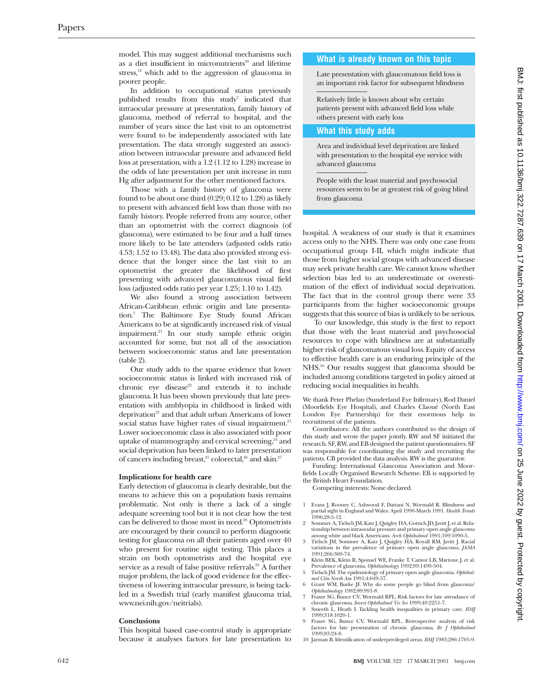model. This may suggest additional mechanisms such as a diet insufficient in micronutrients<sup>20</sup> and lifetime stress,<sup>18</sup> which add to the aggression of glaucoma in poorer people.

In addition to occupational status previously published results from this study<sup>7</sup> indicated that intraocular pressure at presentation, family history of glaucoma, method of referral to hospital, and the number of years since the last visit to an optometrist were found to be independently associated with late presentation. The data strongly suggested an association between intraocular pressure and advanced field loss at presentation, with a 1.2 (1.12 to 1.28) increase in the odds of late presentation per unit increase in mm Hg after adjustment for the other mentioned factors.

Those with a family history of glaucoma were found to be about one third (0.29; 0.12 to 1.28) as likely to present with advanced field loss than those with no family history. People referred from any source, other than an optometrist with the correct diagnosis (of glaucoma), were estimated to be four and a half times more likely to be late attenders (adjusted odds ratio 4.53; 1.52 to 13.48). The data also provided strong evidence that the longer since the last visit to an optometrist the greater the likelihood of first presenting with advanced glaucomatous visual field loss (adjusted odds ratio per year 1.25; 1.10 to 1.42).

We also found a strong association between African-Caribbean ethnic origin and late presentation.7 The Baltimore Eye Study found African Americans to be at significantly increased risk of visual impairment.21 In our study sample ethnic origin accounted for some, but not all of the association between socioeconomic status and late presentation (table 2).

Our study adds to the sparse evidence that lower socioeconomic status is linked with increased risk of chronic eye disease<sup>22</sup> and extends it to include glaucoma. It has been shown previously that late presentation with amblyopia in childhood is linked with deprivation<sup>23</sup> and that adult urban Americans of lower social status have higher rates of visual impairment.<sup>21</sup> Lower socioeconomic class is also associated with poor uptake of mammography and cervical screening,<sup>24</sup> and social deprivation has been linked to later presentation of cancers including breast,<sup>25</sup> colorectal,<sup>26</sup> and skin.<sup>27</sup>

**Implications for health career** is clearly desirable, but the means to achieve this on a population basis remains problematic. Not only is there a lack of a single adequate screening tool but it is not clear how the test can be delivered to those most in need.<sup>28</sup> Optometrists are encouraged by their council to perform diagnostic testing for glaucoma on all their patients aged over 40 who present for routine sight testing. This places a strain on both optometrists and the hospital eye service as a result of false positive referrals.<sup>29</sup> A further major problem, the lack of good evidence for the effectiveness of lowering intraocular pressure, is being tackled in a Swedish trial (early manifest glaucoma trial, www.nei.nih.gov/neitrials).

### Conclusions

**Conclusions** This hospital based case-control study is appropriate because it analyses factors for late presentation to

### **What is already known on this topic**

Late presentation with glaucomatous field loss is an important risk factor for subsequent blindness

Relatively little is known about why certain patients present with advanced field loss while others present with early loss

### **What this study adds**

Area and individual level deprivation are linked with presentation to the hospital eye service with advanced glaucoma

People with the least material and psychosocial resources seem to be at greatest risk of going blind from glaucoma

hospital. A weakness of our study is that it examines access only to the NHS. There was only one case from occupational group I-II, which might indicate that those from higher social groups with advanced disease may seek private health care. We cannot know whether selection bias led to an underestimate or overestimation of the effect of individual social deprivation. The fact that in the control group there were 33 participants from the higher socioeconomic groups suggests that this source of bias is unlikely to be serious.

To our knowledge, this study is the first to report that those with the least material and psychosocial resources to cope with blindness are at substantially higher risk of glaucomatous visual loss. Equity of access to effective health care is an enduring principle of the NHS.30 Our results suggest that glaucoma should be included among conditions targeted in policy aimed at reducing social inequalities in health.

We thank Peter Phelan (Sunderland Eye Infirmary), Rod Daniel (Moorfields Eye Hospital), and Charles Claoué (North East London Eye Partnership) for their enormous help in recruitment of the patients.

Contributors: All the authors contributed to the design of this study and wrote the paper jointly. RW and SF initiated the research. SF, RW, and EB designed the patient questionnaires. SF was responsible for coordinating the study and recruiting the patients. CB provided the data analysis. RW is the guarantor.

Funding: International Glaucoma Association and Moorfields Locally Organised Research Scheme. EB is supported by the British Heart Foundation.

Competing interests: None declared.

- 1 Evans J, Rooney C, Ashwood F, Dattani N, Wormald R. Blindness and partial sight in England and Wales: April 1990-March 1991. *Health Trends* 1996;28:5-12.
- 2 Sommer A, Tielsch JM, Katz J, Quigley HA, Gottsch JD, Javitt J, et al. Relationship between intraocular pressure and primary open angle glaucoma among white and black Americans. *Arch Ophthalmol* 1991;109:1090-5.
- 3 Tielsch JM, Sommer A, Katz J, Quigley HA, Royall RM, Javitt J. Racial variations in the prevalence of primary open angle glaucoma*. JAMA* 1991;266:369-74.
- 4 Klein BEK, Klein R, Sponsel WE, Franke T, Cantor LB, Martone J, et al. Prevalence of glaucoma. *Ophthalmology* 1992;99:1499-504.
- 5 Tielsch JM. The epidemiology of primary open angle glaucoma. *Ophthal-mol Clin North Am* 1991;4:649-57.
- 6 Grant WM, Burke JF. Why do some people go blind from glaucoma? *Ophthalmology* 1982;89:991-8. 7 Fraser SG, Bunce CV, Wormald RPL. Risk factors for late attendance of
- chronic glaucoma. *Invest Ophthalmol Vis Sci* 1999;40:2251-7. 8 Smeeth L, Heath I. Tackling health inequalities in primary care. *BMJ*
- 1999;318:1020-1.
- 9 Fraser SG, Bunce CV, Wormald RPL. Retrospective analysis of risk factors for late presentation of chronic glaucoma. *Br J Ophthalmol* 1999;83:24-8.
- 10 Jarman B. Identification of underprivileged areas. *BMJ* 1983;286:1705-9.